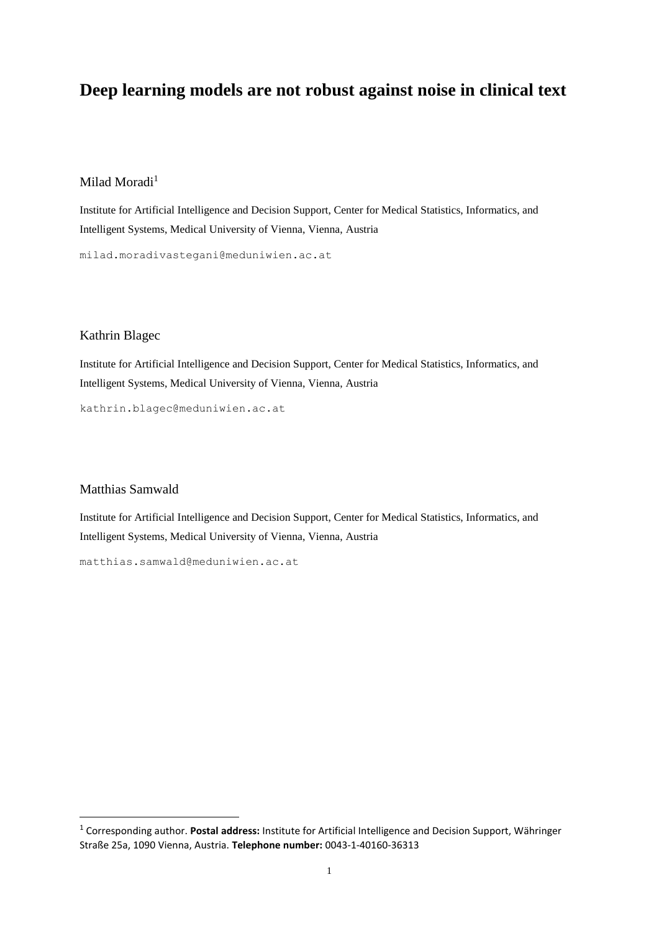# **Deep learning models are not robust against noise in clinical text**

# Milad Moradi<sup>1</sup>

Institute for Artificial Intelligence and Decision Support, Center for Medical Statistics, Informatics, and Intelligent Systems, Medical University of Vienna, Vienna, Austria

milad.moradivastegani@meduniwien.ac.at

#### Kathrin Blagec

Institute for Artificial Intelligence and Decision Support, Center for Medical Statistics, Informatics, and Intelligent Systems, Medical University of Vienna, Vienna, Austria

kathrin.blagec@meduniwien.ac.at

#### Matthias Samwald

1

Institute for Artificial Intelligence and Decision Support, Center for Medical Statistics, Informatics, and Intelligent Systems, Medical University of Vienna, Vienna, Austria

matthias.samwald@meduniwien.ac.at

<sup>1</sup> Corresponding author. **Postal address:** Institute for Artificial Intelligence and Decision Support, Währinger Straße 25a, 1090 Vienna, Austria. **Telephone number:** 0043-1-40160-36313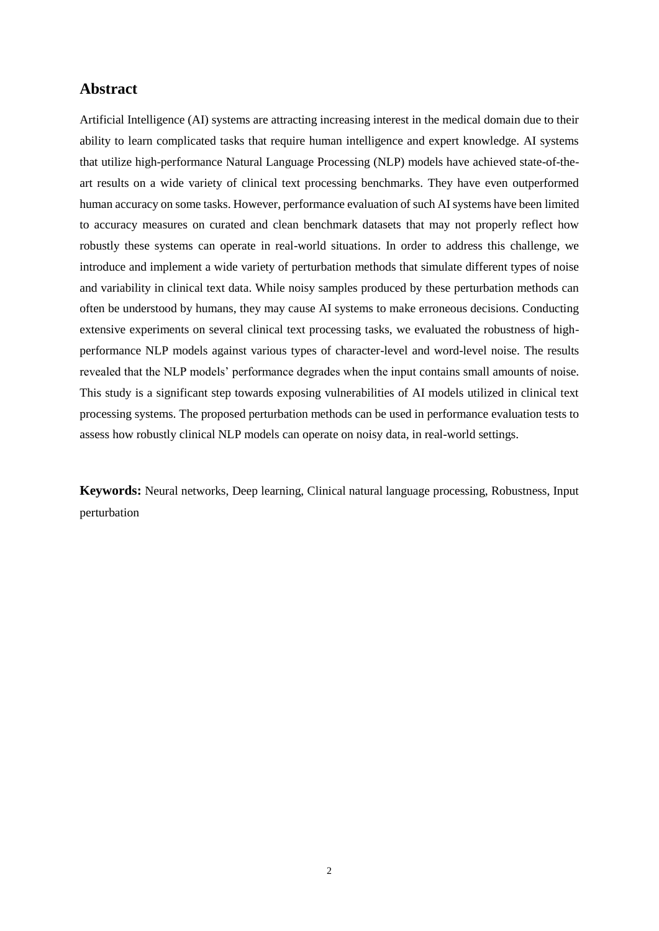# **Abstract**

Artificial Intelligence (AI) systems are attracting increasing interest in the medical domain due to their ability to learn complicated tasks that require human intelligence and expert knowledge. AI systems that utilize high-performance Natural Language Processing (NLP) models have achieved state-of-theart results on a wide variety of clinical text processing benchmarks. They have even outperformed human accuracy on some tasks. However, performance evaluation of such AI systems have been limited to accuracy measures on curated and clean benchmark datasets that may not properly reflect how robustly these systems can operate in real-world situations. In order to address this challenge, we introduce and implement a wide variety of perturbation methods that simulate different types of noise and variability in clinical text data. While noisy samples produced by these perturbation methods can often be understood by humans, they may cause AI systems to make erroneous decisions. Conducting extensive experiments on several clinical text processing tasks, we evaluated the robustness of highperformance NLP models against various types of character-level and word-level noise. The results revealed that the NLP models' performance degrades when the input contains small amounts of noise. This study is a significant step towards exposing vulnerabilities of AI models utilized in clinical text processing systems. The proposed perturbation methods can be used in performance evaluation tests to assess how robustly clinical NLP models can operate on noisy data, in real-world settings.

**Keywords:** Neural networks, Deep learning, Clinical natural language processing, Robustness, Input perturbation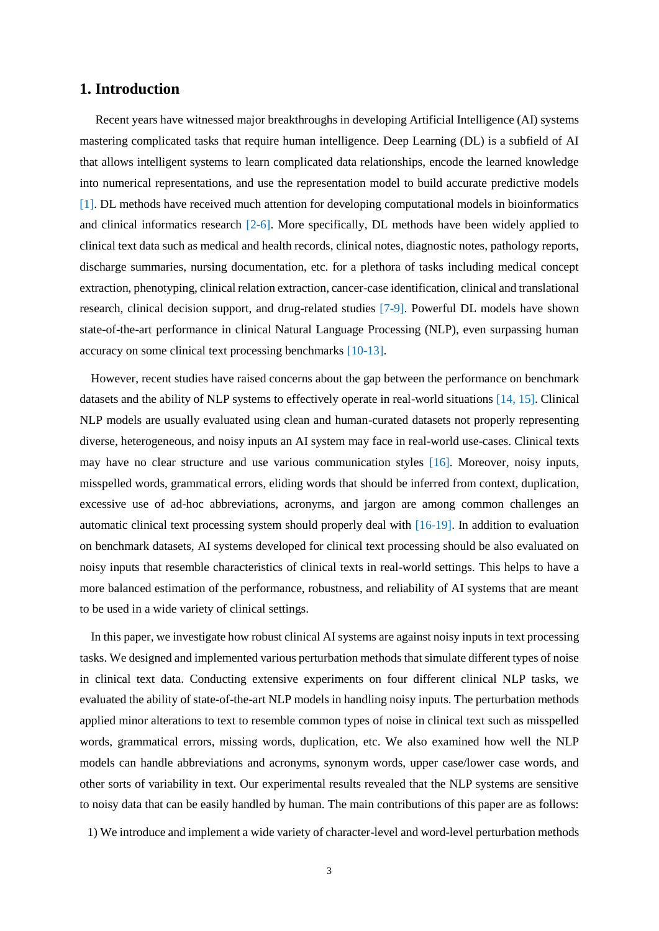# **1. Introduction**

Recent years have witnessed major breakthroughs in developing Artificial Intelligence (AI) systems mastering complicated tasks that require human intelligence. Deep Learning (DL) is a subfield of AI that allows intelligent systems to learn complicated data relationships, encode the learned knowledge into numerical representations, and use the representation model to build accurate predictive models [\[1\]](#page-12-0). DL methods have received much attention for developing computational models in bioinformatics and clinical informatics research [\[2-6\]](#page-12-1). More specifically, DL methods have been widely applied to clinical text data such as medical and health records, clinical notes, diagnostic notes, pathology reports, discharge summaries, nursing documentation, etc. for a plethora of tasks including medical concept extraction, phenotyping, clinical relation extraction, cancer-case identification, clinical and translational research, clinical decision support, and drug-related studies [\[7-9\]](#page-12-2). Powerful DL models have shown state-of-the-art performance in clinical Natural Language Processing (NLP), even surpassing human accuracy on some clinical text processing benchmarks [\[10-13\]](#page-13-0).

However, recent studies have raised concerns about the gap between the performance on benchmark datasets and the ability of NLP systems to effectively operate in real-world situations [\[14,](#page-13-1) [15\]](#page-13-2). Clinical NLP models are usually evaluated using clean and human-curated datasets not properly representing diverse, heterogeneous, and noisy inputs an AI system may face in real-world use-cases. Clinical texts may have no clear structure and use various communication styles [\[16\]](#page-13-3). Moreover, noisy inputs, misspelled words, grammatical errors, eliding words that should be inferred from context, duplication, excessive use of ad-hoc abbreviations, acronyms, and jargon are among common challenges an automatic clinical text processing system should properly deal with [\[16-19\]](#page-13-3). In addition to evaluation on benchmark datasets, AI systems developed for clinical text processing should be also evaluated on noisy inputs that resemble characteristics of clinical texts in real-world settings. This helps to have a more balanced estimation of the performance, robustness, and reliability of AI systems that are meant to be used in a wide variety of clinical settings.

In this paper, we investigate how robust clinical AI systems are against noisy inputs in text processing tasks. We designed and implemented various perturbation methods that simulate different types of noise in clinical text data. Conducting extensive experiments on four different clinical NLP tasks, we evaluated the ability of state-of-the-art NLP models in handling noisy inputs. The perturbation methods applied minor alterations to text to resemble common types of noise in clinical text such as misspelled words, grammatical errors, missing words, duplication, etc. We also examined how well the NLP models can handle abbreviations and acronyms, synonym words, upper case/lower case words, and other sorts of variability in text. Our experimental results revealed that the NLP systems are sensitive to noisy data that can be easily handled by human. The main contributions of this paper are as follows:

1) We introduce and implement a wide variety of character-level and word-level perturbation methods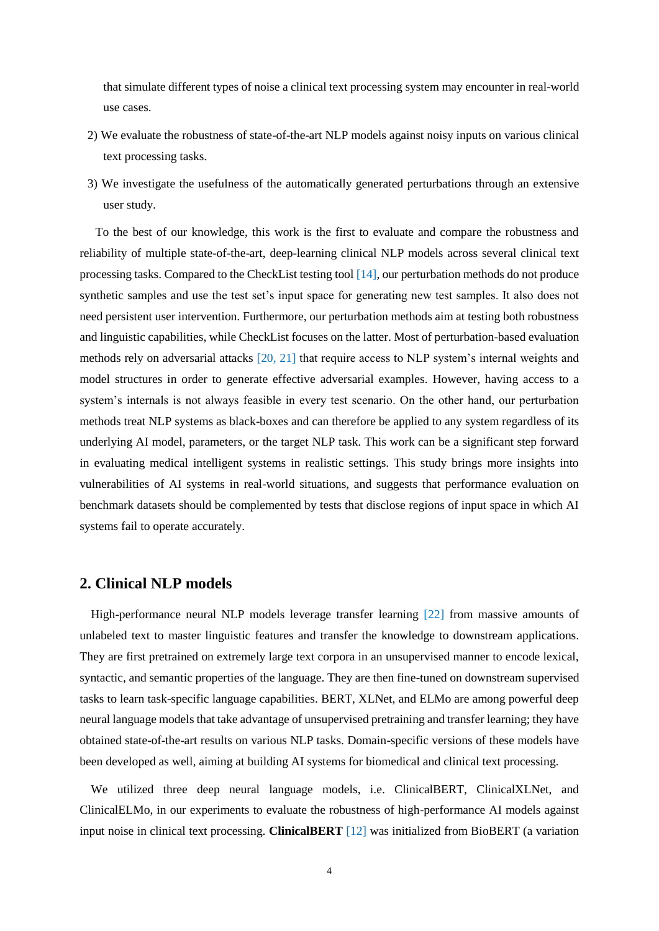that simulate different types of noise a clinical text processing system may encounter in real-world use cases.

- 2) We evaluate the robustness of state-of-the-art NLP models against noisy inputs on various clinical text processing tasks.
- 3) We investigate the usefulness of the automatically generated perturbations through an extensive user study.

To the best of our knowledge, this work is the first to evaluate and compare the robustness and reliability of multiple state-of-the-art, deep-learning clinical NLP models across several clinical text processing tasks. Compared to the CheckList testing tool [\[14\]](#page-13-1), our perturbation methods do not produce synthetic samples and use the test set's input space for generating new test samples. It also does not need persistent user intervention. Furthermore, our perturbation methods aim at testing both robustness and linguistic capabilities, while CheckList focuses on the latter. Most of perturbation-based evaluation methods rely on adversarial attacks [\[20,](#page-13-4) [21\]](#page-13-5) that require access to NLP system's internal weights and model structures in order to generate effective adversarial examples. However, having access to a system's internals is not always feasible in every test scenario. On the other hand, our perturbation methods treat NLP systems as black-boxes and can therefore be applied to any system regardless of its underlying AI model, parameters, or the target NLP task. This work can be a significant step forward in evaluating medical intelligent systems in realistic settings. This study brings more insights into vulnerabilities of AI systems in real-world situations, and suggests that performance evaluation on benchmark datasets should be complemented by tests that disclose regions of input space in which AI systems fail to operate accurately.

### **2. Clinical NLP models**

High-performance neural NLP models leverage transfer learning [\[22\]](#page-13-6) from massive amounts of unlabeled text to master linguistic features and transfer the knowledge to downstream applications. They are first pretrained on extremely large text corpora in an unsupervised manner to encode lexical, syntactic, and semantic properties of the language. They are then fine-tuned on downstream supervised tasks to learn task-specific language capabilities. BERT, XLNet, and ELMo are among powerful deep neural language models that take advantage of unsupervised pretraining and transfer learning; they have obtained state-of-the-art results on various NLP tasks. Domain-specific versions of these models have been developed as well, aiming at building AI systems for biomedical and clinical text processing.

We utilized three deep neural language models, i.e. ClinicalBERT, ClinicalXLNet, and ClinicalELMo, in our experiments to evaluate the robustness of high-performance AI models against input noise in clinical text processing. **ClinicalBERT** [\[12\]](#page-13-7) was initialized from BioBERT (a variation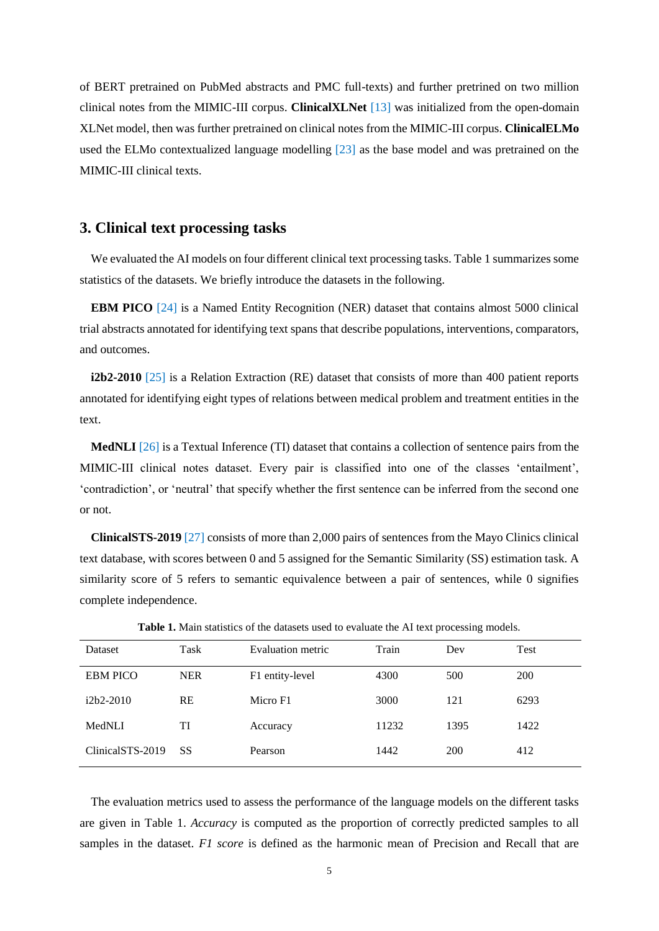of BERT pretrained on PubMed abstracts and PMC full-texts) and further pretrined on two million clinical notes from the MIMIC-III corpus. **ClinicalXLNet** [\[13\]](#page-13-8) was initialized from the open-domain XLNet model, then was further pretrained on clinical notes from the MIMIC-III corpus. **ClinicalELMo** used the ELMo contextualized language modelling [\[23\]](#page-13-9) as the base model and was pretrained on the MIMIC-III clinical texts.

#### **3. Clinical text processing tasks**

We evaluated the AI models on four different clinical text processing tasks. Table 1 summarizes some statistics of the datasets. We briefly introduce the datasets in the following.

**EBM PICO** [\[24\]](#page-13-10) is a Named Entity Recognition (NER) dataset that contains almost 5000 clinical trial abstracts annotated for identifying text spans that describe populations, interventions, comparators, and outcomes.

**i2b2-2010** [\[25\]](#page-13-11) is a Relation Extraction (RE) dataset that consists of more than 400 patient reports annotated for identifying eight types of relations between medical problem and treatment entities in the text.

**MedNLI** [\[26\]](#page-14-0) is a Textual Inference (TI) dataset that contains a collection of sentence pairs from the MIMIC-III clinical notes dataset. Every pair is classified into one of the classes 'entailment', 'contradiction', or 'neutral' that specify whether the first sentence can be inferred from the second one or not.

**ClinicalSTS-2019** [\[27\]](#page-14-1) consists of more than 2,000 pairs of sentences from the Mayo Clinics clinical text database, with scores between 0 and 5 assigned for the Semantic Similarity (SS) estimation task. A similarity score of 5 refers to semantic equivalence between a pair of sentences, while 0 signifies complete independence.

| <b>Dataset</b>   | Task       | Evaluation metric | Train | Dev  | Test |
|------------------|------------|-------------------|-------|------|------|
| <b>EBM PICO</b>  | <b>NER</b> | F1 entity-level   | 4300  | 500  | 200  |
| $i2b2-2010$      | RE         | Micro F1          | 3000  | 121  | 6293 |
| MedNLI           | TI         | Accuracy          | 11232 | 1395 | 1422 |
| ClinicalSTS-2019 | SS         | Pearson           | 1442  | 200  | 412  |

**Table 1.** Main statistics of the datasets used to evaluate the AI text processing models.

The evaluation metrics used to assess the performance of the language models on the different tasks are given in Table 1. *Accuracy* is computed as the proportion of correctly predicted samples to all samples in the dataset. *F1 score* is defined as the harmonic mean of Precision and Recall that are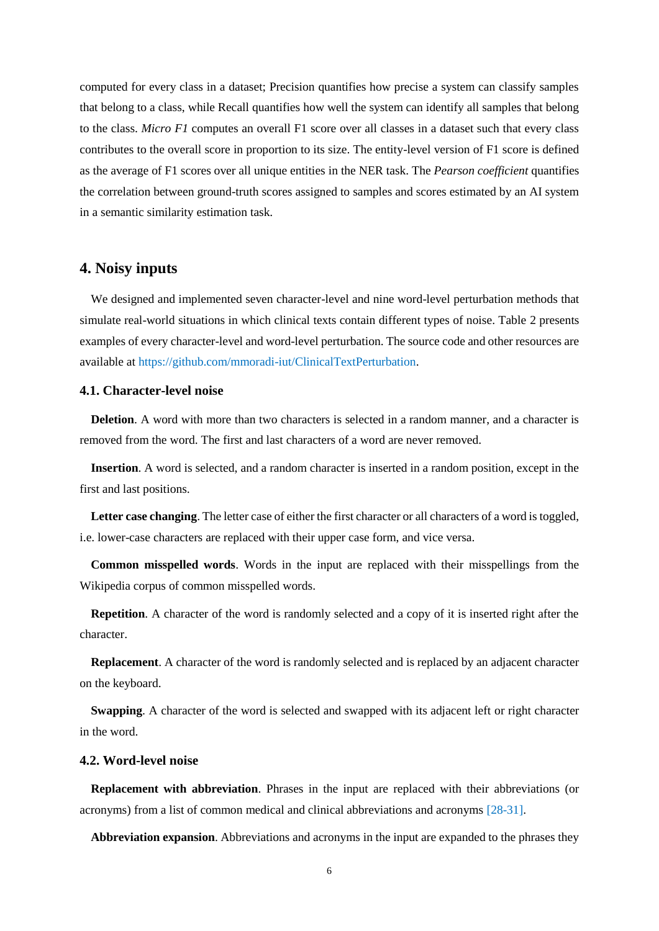computed for every class in a dataset; Precision quantifies how precise a system can classify samples that belong to a class, while Recall quantifies how well the system can identify all samples that belong to the class. *Micro F1* computes an overall F1 score over all classes in a dataset such that every class contributes to the overall score in proportion to its size. The entity-level version of F1 score is defined as the average of F1 scores over all unique entities in the NER task. The *Pearson coefficient* quantifies the correlation between ground-truth scores assigned to samples and scores estimated by an AI system in a semantic similarity estimation task.

# **4. Noisy inputs**

We designed and implemented seven character-level and nine word-level perturbation methods that simulate real-world situations in which clinical texts contain different types of noise. Table 2 presents examples of every character-level and word-level perturbation. The source code and other resources are available at [https://github.com/mmoradi-iut/ClinicalTextPerturbation.](https://github.com/mmoradi-iut/ClinicalTextPerturbation)

#### **4.1. Character-level noise**

**Deletion**. A word with more than two characters is selected in a random manner, and a character is removed from the word. The first and last characters of a word are never removed.

**Insertion**. A word is selected, and a random character is inserted in a random position, except in the first and last positions.

**Letter case changing**. The letter case of either the first character or all characters of a word is toggled, i.e. lower-case characters are replaced with their upper case form, and vice versa.

**Common misspelled words**. Words in the input are replaced with their misspellings from the Wikipedia corpus of common misspelled words.

**Repetition**. A character of the word is randomly selected and a copy of it is inserted right after the character.

**Replacement**. A character of the word is randomly selected and is replaced by an adjacent character on the keyboard.

**Swapping.** A character of the word is selected and swapped with its adjacent left or right character in the word.

#### **4.2. Word-level noise**

**Replacement with abbreviation**. Phrases in the input are replaced with their abbreviations (or acronyms) from a list of common medical and clinical abbreviations and acronyms [\[28-31\]](#page-14-2).

**Abbreviation expansion**. Abbreviations and acronyms in the input are expanded to the phrases they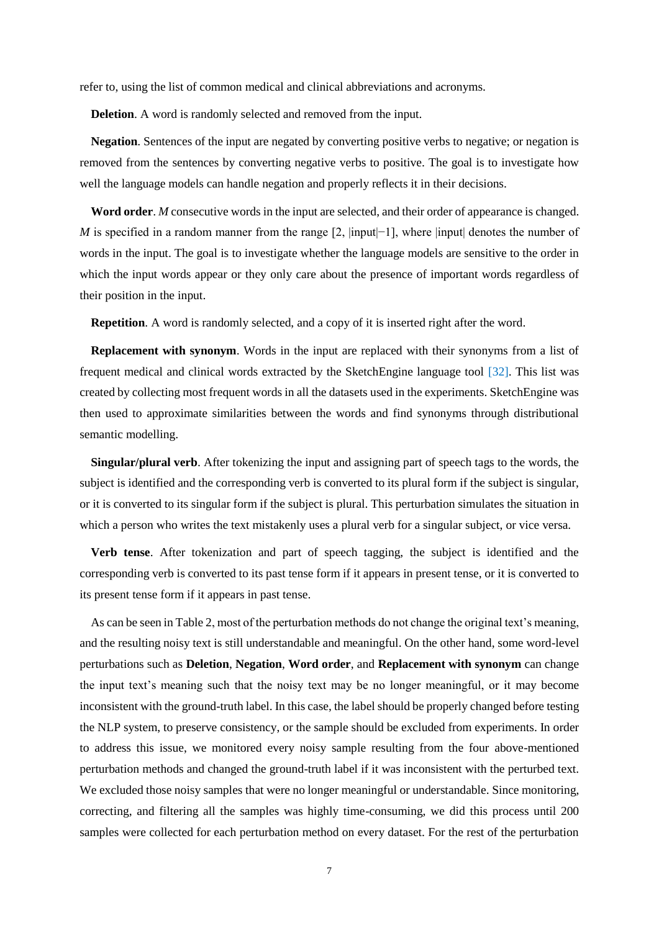refer to, using the list of common medical and clinical abbreviations and acronyms.

**Deletion**. A word is randomly selected and removed from the input.

**Negation**. Sentences of the input are negated by converting positive verbs to negative; or negation is removed from the sentences by converting negative verbs to positive. The goal is to investigate how well the language models can handle negation and properly reflects it in their decisions.

**Word order**. *M* consecutive words in the input are selected, and their order of appearance is changed. *M* is specified in a random manner from the range [2, |input|−1], where |input| denotes the number of words in the input. The goal is to investigate whether the language models are sensitive to the order in which the input words appear or they only care about the presence of important words regardless of their position in the input.

**Repetition.** A word is randomly selected, and a copy of it is inserted right after the word.

**Replacement with synonym**. Words in the input are replaced with their synonyms from a list of frequent medical and clinical words extracted by the SketchEngine language tool [\[32\]](#page-14-3). This list was created by collecting most frequent words in all the datasets used in the experiments. SketchEngine was then used to approximate similarities between the words and find synonyms through distributional semantic modelling.

**Singular/plural verb**. After tokenizing the input and assigning part of speech tags to the words, the subject is identified and the corresponding verb is converted to its plural form if the subject is singular, or it is converted to its singular form if the subject is plural. This perturbation simulates the situation in which a person who writes the text mistakenly uses a plural verb for a singular subject, or vice versa.

**Verb tense**. After tokenization and part of speech tagging, the subject is identified and the corresponding verb is converted to its past tense form if it appears in present tense, or it is converted to its present tense form if it appears in past tense.

As can be seen in Table 2, most of the perturbation methods do not change the original text's meaning, and the resulting noisy text is still understandable and meaningful. On the other hand, some word-level perturbations such as **Deletion**, **Negation**, **Word order**, and **Replacement with synonym** can change the input text's meaning such that the noisy text may be no longer meaningful, or it may become inconsistent with the ground-truth label. In this case, the label should be properly changed before testing the NLP system, to preserve consistency, or the sample should be excluded from experiments. In order to address this issue, we monitored every noisy sample resulting from the four above-mentioned perturbation methods and changed the ground-truth label if it was inconsistent with the perturbed text. We excluded those noisy samples that were no longer meaningful or understandable. Since monitoring, correcting, and filtering all the samples was highly time-consuming, we did this process until 200 samples were collected for each perturbation method on every dataset. For the rest of the perturbation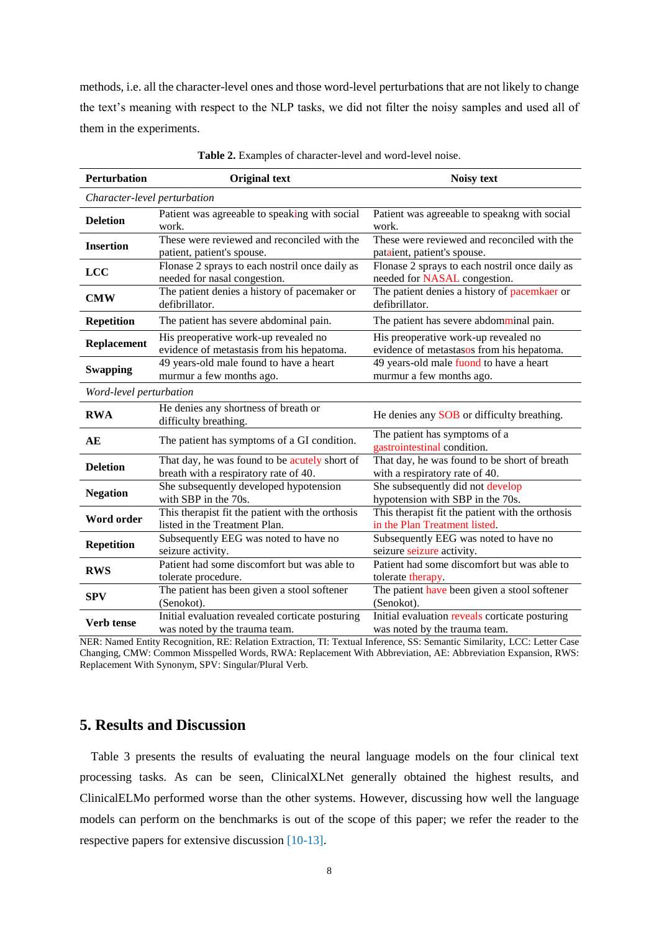methods, i.e. all the character-level ones and those word-level perturbations that are not likely to change the text's meaning with respect to the NLP tasks, we did not filter the noisy samples and used all of them in the experiments.

| <b>Perturbation</b>          | <b>Original text</b>                                                                   | <b>Noisy text</b>                                                                 |  |  |  |  |  |  |
|------------------------------|----------------------------------------------------------------------------------------|-----------------------------------------------------------------------------------|--|--|--|--|--|--|
| Character-level perturbation |                                                                                        |                                                                                   |  |  |  |  |  |  |
| <b>Deletion</b>              | Patient was agreeable to speaking with social<br>work.                                 | Patient was agreeable to speakng with social<br>work.                             |  |  |  |  |  |  |
| <b>Insertion</b>             | These were reviewed and reconciled with the<br>patient, patient's spouse.              | These were reviewed and reconciled with the<br>pataient, patient's spouse.        |  |  |  |  |  |  |
| <b>LCC</b>                   | Flonase 2 sprays to each nostril once daily as<br>needed for nasal congestion.         | Flonase 2 sprays to each nostril once daily as<br>needed for NASAL congestion.    |  |  |  |  |  |  |
| <b>CMW</b>                   | The patient denies a history of pacemaker or<br>defibrillator.                         | The patient denies a history of pacemkaer or<br>defibrillator.                    |  |  |  |  |  |  |
| <b>Repetition</b>            | The patient has severe abdominal pain.                                                 | The patient has severe abdomminal pain.                                           |  |  |  |  |  |  |
| <b>Replacement</b>           | His preoperative work-up revealed no<br>evidence of metastasis from his hepatoma.      | His preoperative work-up revealed no<br>evidence of metastasos from his hepatoma. |  |  |  |  |  |  |
| <b>Swapping</b>              | 49 years-old male found to have a heart<br>murmur a few months ago.                    | 49 years-old male fuond to have a heart<br>murmur a few months ago.               |  |  |  |  |  |  |
| Word-level perturbation      |                                                                                        |                                                                                   |  |  |  |  |  |  |
| <b>RWA</b>                   | He denies any shortness of breath or<br>difficulty breathing.                          | He denies any SOB or difficulty breathing.                                        |  |  |  |  |  |  |
| AE                           | The patient has symptoms of a GI condition.                                            | The patient has symptoms of a<br>gastrointestinal condition.                      |  |  |  |  |  |  |
| <b>Deletion</b>              | That day, he was found to be acutely short of<br>breath with a respiratory rate of 40. | That day, he was found to be short of breath<br>with a respiratory rate of 40.    |  |  |  |  |  |  |
| <b>Negation</b>              | She subsequently developed hypotension<br>with SBP in the 70s.                         | She subsequently did not develop<br>hypotension with SBP in the 70s.              |  |  |  |  |  |  |
| Word order                   | This therapist fit the patient with the orthosis<br>listed in the Treatment Plan.      | This therapist fit the patient with the orthosis<br>in the Plan Treatment listed. |  |  |  |  |  |  |
| <b>Repetition</b>            | Subsequently EEG was noted to have no<br>seizure activity.                             | Subsequently EEG was noted to have no<br>seizure seizure activity.                |  |  |  |  |  |  |
| <b>RWS</b>                   | Patient had some discomfort but was able to<br>tolerate procedure.                     | Patient had some discomfort but was able to<br>tolerate therapy.                  |  |  |  |  |  |  |
| <b>SPV</b>                   | The patient has been given a stool softener<br>(Senokot).                              | The patient have been given a stool softener<br>(Senokot).                        |  |  |  |  |  |  |
| Verb tense                   | Initial evaluation revealed corticate posturing<br>was noted by the trauma team.       | Initial evaluation reveals corticate posturing<br>was noted by the trauma team.   |  |  |  |  |  |  |

**Table 2.** Examples of character-level and word-level noise.

NER: Named Entity Recognition, RE: Relation Extraction, TI: Textual Inference, SS: Semantic Similarity, LCC: Letter Case Changing, CMW: Common Misspelled Words, RWA: Replacement With Abbreviation, AE: Abbreviation Expansion, RWS: Replacement With Synonym, SPV: Singular/Plural Verb.

# **5. Results and Discussion**

Table 3 presents the results of evaluating the neural language models on the four clinical text processing tasks. As can be seen, ClinicalXLNet generally obtained the highest results, and ClinicalELMo performed worse than the other systems. However, discussing how well the language models can perform on the benchmarks is out of the scope of this paper; we refer the reader to the respective papers for extensive discussion [\[10-13\]](#page-13-0).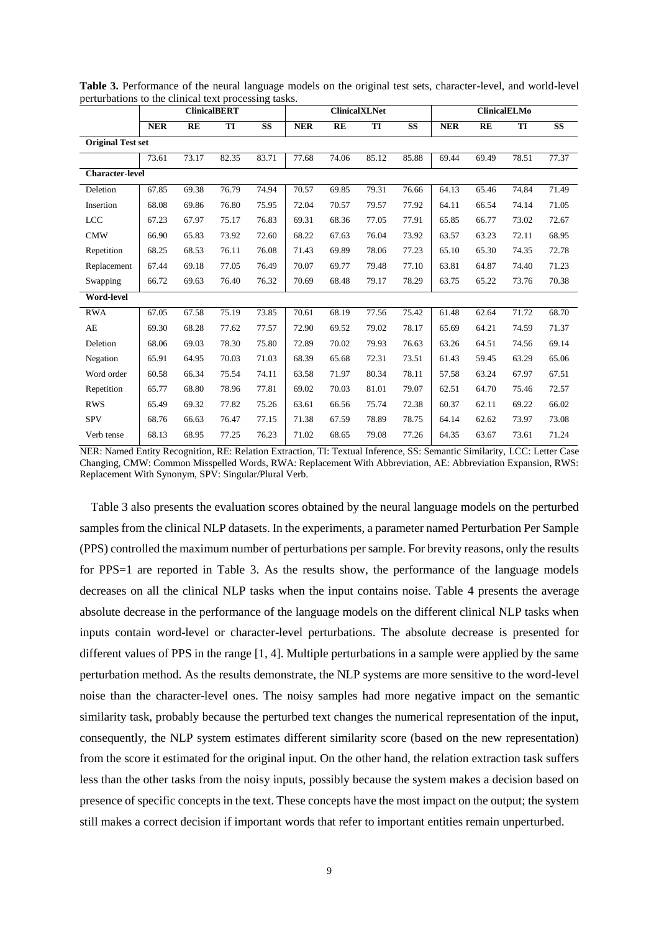|                          | provessing<br><b>ClinicalBERT</b> |       |       | <b>ClinicalXLNet</b> |            |       |       | <b>ClinicalELMo</b> |            |       |       |           |
|--------------------------|-----------------------------------|-------|-------|----------------------|------------|-------|-------|---------------------|------------|-------|-------|-----------|
|                          | <b>NER</b>                        | RE    | TI    | <b>SS</b>            | <b>NER</b> | RE    | TI    | <b>SS</b>           | <b>NER</b> | RE    | TI    | <b>SS</b> |
| <b>Original Test set</b> |                                   |       |       |                      |            |       |       |                     |            |       |       |           |
|                          | 73.61                             | 73.17 | 82.35 | 83.71                | 77.68      | 74.06 | 85.12 | 85.88               | 69.44      | 69.49 | 78.51 | 77.37     |
| <b>Character-level</b>   |                                   |       |       |                      |            |       |       |                     |            |       |       |           |
| Deletion                 | 67.85                             | 69.38 | 76.79 | 74.94                | 70.57      | 69.85 | 79.31 | 76.66               | 64.13      | 65.46 | 74.84 | 71.49     |
| Insertion                | 68.08                             | 69.86 | 76.80 | 75.95                | 72.04      | 70.57 | 79.57 | 77.92               | 64.11      | 66.54 | 74.14 | 71.05     |
| <b>LCC</b>               | 67.23                             | 67.97 | 75.17 | 76.83                | 69.31      | 68.36 | 77.05 | 77.91               | 65.85      | 66.77 | 73.02 | 72.67     |
| <b>CMW</b>               | 66.90                             | 65.83 | 73.92 | 72.60                | 68.22      | 67.63 | 76.04 | 73.92               | 63.57      | 63.23 | 72.11 | 68.95     |
| Repetition               | 68.25                             | 68.53 | 76.11 | 76.08                | 71.43      | 69.89 | 78.06 | 77.23               | 65.10      | 65.30 | 74.35 | 72.78     |
| Replacement              | 67.44                             | 69.18 | 77.05 | 76.49                | 70.07      | 69.77 | 79.48 | 77.10               | 63.81      | 64.87 | 74.40 | 71.23     |
| Swapping                 | 66.72                             | 69.63 | 76.40 | 76.32                | 70.69      | 68.48 | 79.17 | 78.29               | 63.75      | 65.22 | 73.76 | 70.38     |
| <b>Word-level</b>        |                                   |       |       |                      |            |       |       |                     |            |       |       |           |
| <b>RWA</b>               | 67.05                             | 67.58 | 75.19 | 73.85                | 70.61      | 68.19 | 77.56 | 75.42               | 61.48      | 62.64 | 71.72 | 68.70     |
| AE                       | 69.30                             | 68.28 | 77.62 | 77.57                | 72.90      | 69.52 | 79.02 | 78.17               | 65.69      | 64.21 | 74.59 | 71.37     |
| Deletion                 | 68.06                             | 69.03 | 78.30 | 75.80                | 72.89      | 70.02 | 79.93 | 76.63               | 63.26      | 64.51 | 74.56 | 69.14     |
| Negation                 | 65.91                             | 64.95 | 70.03 | 71.03                | 68.39      | 65.68 | 72.31 | 73.51               | 61.43      | 59.45 | 63.29 | 65.06     |
| Word order               | 60.58                             | 66.34 | 75.54 | 74.11                | 63.58      | 71.97 | 80.34 | 78.11               | 57.58      | 63.24 | 67.97 | 67.51     |
| Repetition               | 65.77                             | 68.80 | 78.96 | 77.81                | 69.02      | 70.03 | 81.01 | 79.07               | 62.51      | 64.70 | 75.46 | 72.57     |
| <b>RWS</b>               | 65.49                             | 69.32 | 77.82 | 75.26                | 63.61      | 66.56 | 75.74 | 72.38               | 60.37      | 62.11 | 69.22 | 66.02     |
| <b>SPV</b>               | 68.76                             | 66.63 | 76.47 | 77.15                | 71.38      | 67.59 | 78.89 | 78.75               | 64.14      | 62.62 | 73.97 | 73.08     |
| Verb tense               | 68.13                             | 68.95 | 77.25 | 76.23                | 71.02      | 68.65 | 79.08 | 77.26               | 64.35      | 63.67 | 73.61 | 71.24     |

**Table 3.** Performance of the neural language models on the original test sets, character-level, and world-level perturbations to the clinical text processing tasks.

NER: Named Entity Recognition, RE: Relation Extraction, TI: Textual Inference, SS: Semantic Similarity, LCC: Letter Case Changing, CMW: Common Misspelled Words, RWA: Replacement With Abbreviation, AE: Abbreviation Expansion, RWS: Replacement With Synonym, SPV: Singular/Plural Verb.

Table 3 also presents the evaluation scores obtained by the neural language models on the perturbed samples from the clinical NLP datasets. In the experiments, a parameter named Perturbation Per Sample (PPS) controlled the maximum number of perturbations per sample. For brevity reasons, only the results for PPS=1 are reported in Table 3. As the results show, the performance of the language models decreases on all the clinical NLP tasks when the input contains noise. Table 4 presents the average absolute decrease in the performance of the language models on the different clinical NLP tasks when inputs contain word-level or character-level perturbations. The absolute decrease is presented for different values of PPS in the range [1, 4]. Multiple perturbations in a sample were applied by the same perturbation method. As the results demonstrate, the NLP systems are more sensitive to the word-level noise than the character-level ones. The noisy samples had more negative impact on the semantic similarity task, probably because the perturbed text changes the numerical representation of the input, consequently, the NLP system estimates different similarity score (based on the new representation) from the score it estimated for the original input. On the other hand, the relation extraction task suffers less than the other tasks from the noisy inputs, possibly because the system makes a decision based on presence of specific concepts in the text. These concepts have the most impact on the output; the system still makes a correct decision if important words that refer to important entities remain unperturbed.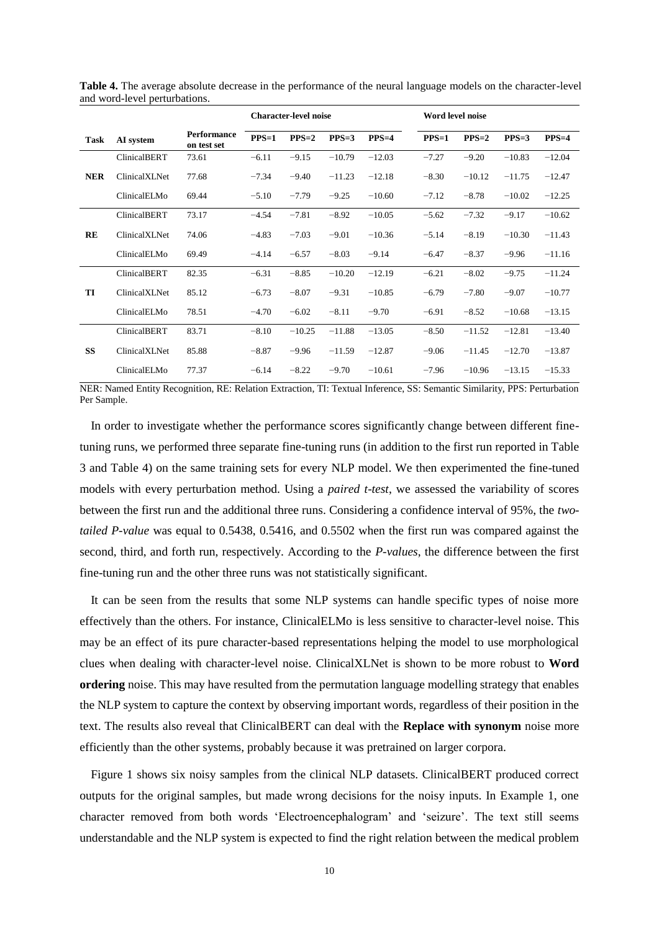|            |                     |                                   | <b>Character-level noise</b> |          |          |          | Word level noise |          |          |          |  |
|------------|---------------------|-----------------------------------|------------------------------|----------|----------|----------|------------------|----------|----------|----------|--|
| Task       | AI system           | <b>Performance</b><br>on test set | $PPS=1$                      | $PPS=2$  | $PPS=3$  | $PPS=4$  | $PPS=1$          | $PPS=2$  | $PPS=3$  | $PPS=4$  |  |
|            | <b>ClinicalBERT</b> | 73.61                             | $-6.11$                      | $-9.15$  | $-10.79$ | $-12.03$ | $-7.27$          | $-9.20$  | $-10.83$ | $-12.04$ |  |
| <b>NER</b> | ClinicalXLNet       | 77.68                             | $-7.34$                      | $-9.40$  | $-11.23$ | $-12.18$ | $-8.30$          | $-10.12$ | $-11.75$ | $-12.47$ |  |
|            | ClinicalELMo        | 69.44                             | $-5.10$                      | $-7.79$  | $-9.25$  | $-10.60$ | $-7.12$          | $-8.78$  | $-10.02$ | $-12.25$ |  |
|            | <b>ClinicalBERT</b> | 73.17                             | $-4.54$                      | $-7.81$  | $-8.92$  | $-10.05$ | $-5.62$          | $-7.32$  | $-9.17$  | $-10.62$ |  |
| RE         | ClinicalXLNet       | 74.06                             | $-4.83$                      | $-7.03$  | $-9.01$  | $-10.36$ | $-5.14$          | $-8.19$  | $-10.30$ | $-11.43$ |  |
|            | ClinicalELMo        | 69.49                             | $-4.14$                      | $-6.57$  | $-8.03$  | $-9.14$  | $-6.47$          | $-8.37$  | $-9.96$  | $-11.16$ |  |
|            | <b>ClinicalBERT</b> | 82.35                             | $-6.31$                      | $-8.85$  | $-10.20$ | $-12.19$ | $-6.21$          | $-8.02$  | $-9.75$  | $-11.24$ |  |
| TI         | ClinicalXLNet       | 85.12                             | $-6.73$                      | $-8.07$  | $-9.31$  | $-10.85$ | $-6.79$          | $-7.80$  | $-9.07$  | $-10.77$ |  |
|            | ClinicalELMo        | 78.51                             | $-4.70$                      | $-6.02$  | $-8.11$  | $-9.70$  | $-6.91$          | $-8.52$  | $-10.68$ | $-13.15$ |  |
|            | <b>ClinicalBERT</b> | 83.71                             | $-8.10$                      | $-10.25$ | $-11.88$ | $-13.05$ | $-8.50$          | $-11.52$ | $-12.81$ | $-13.40$ |  |
| <b>SS</b>  | ClinicalXLNet       | 85.88                             | $-8.87$                      | $-9.96$  | $-11.59$ | $-12.87$ | $-9.06$          | $-11.45$ | $-12.70$ | $-13.87$ |  |
|            | ClinicalELMo        | 77.37                             | $-6.14$                      | $-8.22$  | $-9.70$  | $-10.61$ | $-7.96$          | $-10.96$ | $-13.15$ | $-15.33$ |  |

**Table 4.** The average absolute decrease in the performance of the neural language models on the character-level and word-level perturbations.

NER: Named Entity Recognition, RE: Relation Extraction, TI: Textual Inference, SS: Semantic Similarity, PPS: Perturbation Per Sample.

In order to investigate whether the performance scores significantly change between different finetuning runs, we performed three separate fine-tuning runs (in addition to the first run reported in Table 3 and Table 4) on the same training sets for every NLP model. We then experimented the fine-tuned models with every perturbation method. Using a *paired t-test*, we assessed the variability of scores between the first run and the additional three runs. Considering a confidence interval of 95%, the *twotailed P-value* was equal to 0.5438, 0.5416, and 0.5502 when the first run was compared against the second, third, and forth run, respectively. According to the *P-values*, the difference between the first fine-tuning run and the other three runs was not statistically significant.

It can be seen from the results that some NLP systems can handle specific types of noise more effectively than the others. For instance, ClinicalELMo is less sensitive to character-level noise. This may be an effect of its pure character-based representations helping the model to use morphological clues when dealing with character-level noise. ClinicalXLNet is shown to be more robust to **Word ordering** noise. This may have resulted from the permutation language modelling strategy that enables the NLP system to capture the context by observing important words, regardless of their position in the text. The results also reveal that ClinicalBERT can deal with the **Replace with synonym** noise more efficiently than the other systems, probably because it was pretrained on larger corpora.

Figure 1 shows six noisy samples from the clinical NLP datasets. ClinicalBERT produced correct outputs for the original samples, but made wrong decisions for the noisy inputs. In Example 1, one character removed from both words 'Electroencephalogram' and 'seizure'. The text still seems understandable and the NLP system is expected to find the right relation between the medical problem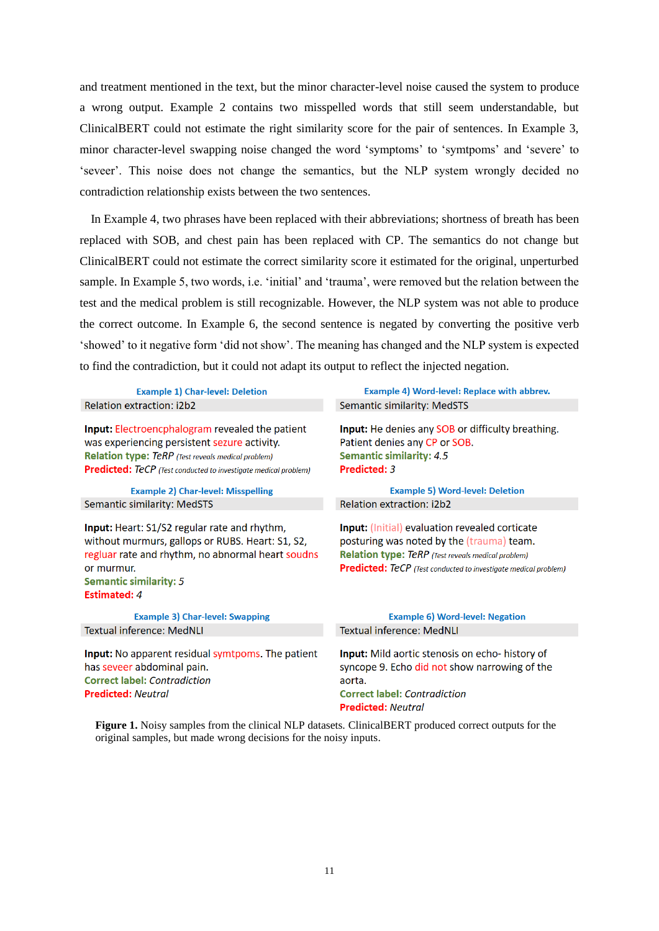and treatment mentioned in the text, but the minor character-level noise caused the system to produce a wrong output. Example 2 contains two misspelled words that still seem understandable, but ClinicalBERT could not estimate the right similarity score for the pair of sentences. In Example 3, minor character-level swapping noise changed the word 'symptoms' to 'symtpoms' and 'severe' to 'seveer'. This noise does not change the semantics, but the NLP system wrongly decided no contradiction relationship exists between the two sentences.

In Example 4, two phrases have been replaced with their abbreviations; shortness of breath has been replaced with SOB, and chest pain has been replaced with CP. The semantics do not change but ClinicalBERT could not estimate the correct similarity score it estimated for the original, unperturbed sample. In Example 5, two words, i.e. 'initial' and 'trauma', were removed but the relation between the test and the medical problem is still recognizable. However, the NLP system was not able to produce the correct outcome. In Example 6, the second sentence is negated by converting the positive verb 'showed' to it negative form 'did not show'. The meaning has changed and the NLP system is expected to find the contradiction, but it could not adapt its output to reflect the injected negation.

**Example 1) Char-level: Deletion** Relation extraction: i2b2

Input: Electroencphalogram revealed the patient was experiencing persistent sezure activity. **Relation type: TeRP** (Test reveals medical problem) **Predicted:** TeCP (Test conducted to investigate medical problem)

**Example 2) Char-level: Misspelling Semantic similarity: MedSTS** 

Input: Heart: S1/S2 regular rate and rhythm, without murmurs, gallops or RUBS. Heart: S1, S2, regluar rate and rhythm, no abnormal heart soudns or murmur. **Semantic similarity: 5 Estimated: 4** 

**Example 3) Char-level: Swapping** Textual inference: MedNLI

Input: No apparent residual symtpoms. The patient has seveer abdominal pain. **Correct label: Contradiction Predicted: Neutral** 

Example 4) Word-level: Replace with abbrev. **Semantic similarity: MedSTS** 

Input: He denies any SOB or difficulty breathing. Patient denies any CP or SOB. **Semantic similarity: 4.5** Predicted: 3

**Example 5) Word-level: Deletion** Relation extraction: i2b2

Input: (Initial) evaluation revealed corticate posturing was noted by the (trauma) team. **Relation type: TeRP** (Test reveals medical problem) **Predicted:** TeCP (Test conducted to investigate medical problem)

#### **Example 6) Word-level: Negation Textual inference: MedNLI**

Input: Mild aortic stenosis on echo- history of syncope 9. Echo did not show narrowing of the aorta. **Correct label: Contradiction Predicted: Neutral** 

**Figure 1.** Noisy samples from the clinical NLP datasets. ClinicalBERT produced correct outputs for the original samples, but made wrong decisions for the noisy inputs.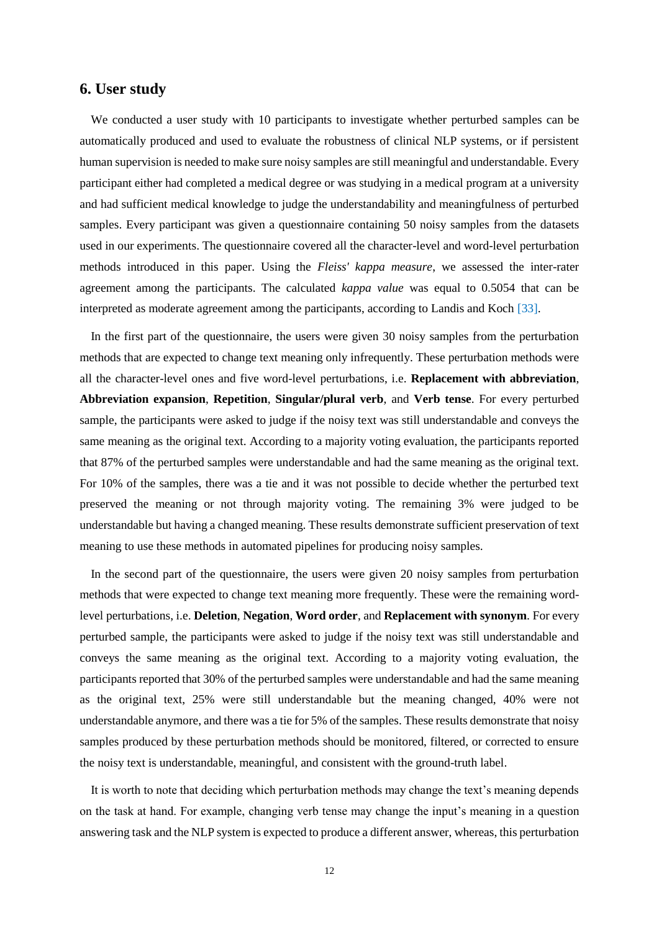# **6. User study**

We conducted a user study with 10 participants to investigate whether perturbed samples can be automatically produced and used to evaluate the robustness of clinical NLP systems, or if persistent human supervision is needed to make sure noisy samples are still meaningful and understandable. Every participant either had completed a medical degree or was studying in a medical program at a university and had sufficient medical knowledge to judge the understandability and meaningfulness of perturbed samples. Every participant was given a questionnaire containing 50 noisy samples from the datasets used in our experiments. The questionnaire covered all the character-level and word-level perturbation methods introduced in this paper. Using the *Fleiss' kappa measure*, we assessed the inter-rater agreement among the participants. The calculated *kappa value* was equal to 0.5054 that can be interpreted as moderate agreement among the participants, according to Landis and Koch [\[33\]](#page-14-4).

In the first part of the questionnaire, the users were given 30 noisy samples from the perturbation methods that are expected to change text meaning only infrequently. These perturbation methods were all the character-level ones and five word-level perturbations, i.e. **Replacement with abbreviation**, **Abbreviation expansion**, **Repetition**, **Singular/plural verb**, and **Verb tense**. For every perturbed sample, the participants were asked to judge if the noisy text was still understandable and conveys the same meaning as the original text. According to a majority voting evaluation, the participants reported that 87% of the perturbed samples were understandable and had the same meaning as the original text. For 10% of the samples, there was a tie and it was not possible to decide whether the perturbed text preserved the meaning or not through majority voting. The remaining 3% were judged to be understandable but having a changed meaning. These results demonstrate sufficient preservation of text meaning to use these methods in automated pipelines for producing noisy samples.

In the second part of the questionnaire, the users were given 20 noisy samples from perturbation methods that were expected to change text meaning more frequently. These were the remaining wordlevel perturbations, i.e. **Deletion**, **Negation**, **Word order**, and **Replacement with synonym**. For every perturbed sample, the participants were asked to judge if the noisy text was still understandable and conveys the same meaning as the original text. According to a majority voting evaluation, the participants reported that 30% of the perturbed samples were understandable and had the same meaning as the original text, 25% were still understandable but the meaning changed, 40% were not understandable anymore, and there was a tie for 5% of the samples. These results demonstrate that noisy samples produced by these perturbation methods should be monitored, filtered, or corrected to ensure the noisy text is understandable, meaningful, and consistent with the ground-truth label.

It is worth to note that deciding which perturbation methods may change the text's meaning depends on the task at hand. For example, changing verb tense may change the input's meaning in a question answering task and the NLP system is expected to produce a different answer, whereas, this perturbation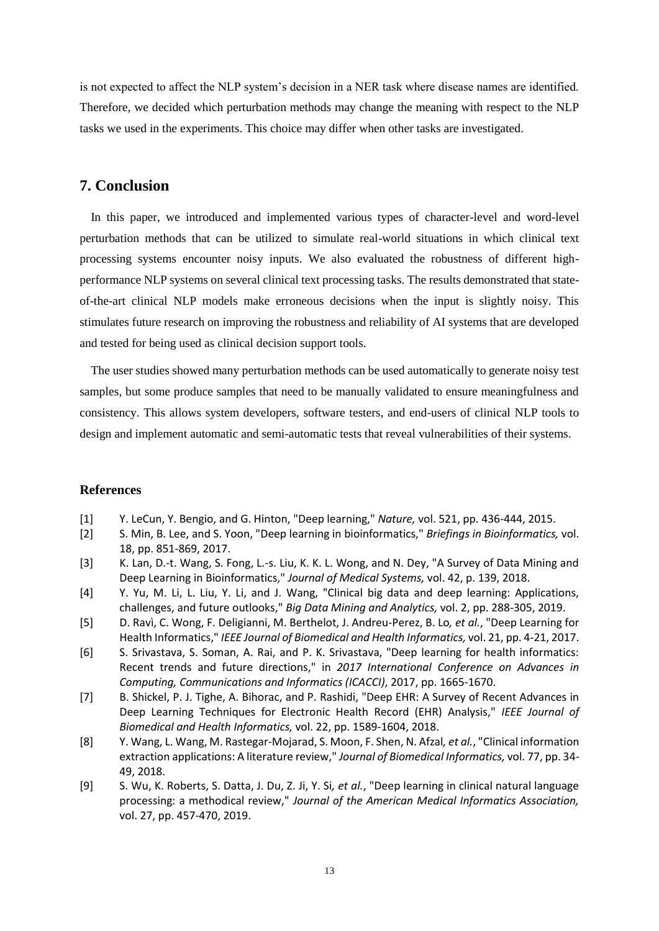is not expected to affect the NLP system's decision in a NER task where disease names are identified. Therefore, we decided which perturbation methods may change the meaning with respect to the NLP tasks we used in the experiments. This choice may differ when other tasks are investigated.

### **7. Conclusion**

In this paper, we introduced and implemented various types of character-level and word-level perturbation methods that can be utilized to simulate real-world situations in which clinical text processing systems encounter noisy inputs. We also evaluated the robustness of different highperformance NLP systems on several clinical text processing tasks. The results demonstrated that stateof-the-art clinical NLP models make erroneous decisions when the input is slightly noisy. This stimulates future research on improving the robustness and reliability of AI systems that are developed and tested for being used as clinical decision support tools.

The user studies showed many perturbation methods can be used automatically to generate noisy test samples, but some produce samples that need to be manually validated to ensure meaningfulness and consistency. This allows system developers, software testers, and end-users of clinical NLP tools to design and implement automatic and semi-automatic tests that reveal vulnerabilities of their systems.

#### **References**

- <span id="page-12-0"></span>[1] Y. LeCun, Y. Bengio, and G. Hinton, "Deep learning," *Nature,* vol. 521, pp. 436-444, 2015.
- <span id="page-12-1"></span>[2] S. Min, B. Lee, and S. Yoon, "Deep learning in bioinformatics," *Briefings in Bioinformatics,* vol. 18, pp. 851-869, 2017.
- [3] K. Lan, D.-t. Wang, S. Fong, L.-s. Liu, K. K. L. Wong, and N. Dey, "A Survey of Data Mining and Deep Learning in Bioinformatics," *Journal of Medical Systems,* vol. 42, p. 139, 2018.
- [4] Y. Yu, M. Li, L. Liu, Y. Li, and J. Wang, "Clinical big data and deep learning: Applications, challenges, and future outlooks," *Big Data Mining and Analytics,* vol. 2, pp. 288-305, 2019.
- [5] D. Ravì, C. Wong, F. Deligianni, M. Berthelot, J. Andreu-Perez, B. Lo*, et al.*, "Deep Learning for Health Informatics," *IEEE Journal of Biomedical and Health Informatics,* vol. 21, pp. 4-21, 2017.
- [6] S. Srivastava, S. Soman, A. Rai, and P. K. Srivastava, "Deep learning for health informatics: Recent trends and future directions," in *2017 International Conference on Advances in Computing, Communications and Informatics (ICACCI)*, 2017, pp. 1665-1670.
- <span id="page-12-2"></span>[7] B. Shickel, P. J. Tighe, A. Bihorac, and P. Rashidi, "Deep EHR: A Survey of Recent Advances in Deep Learning Techniques for Electronic Health Record (EHR) Analysis," *IEEE Journal of Biomedical and Health Informatics,* vol. 22, pp. 1589-1604, 2018.
- [8] Y. Wang, L. Wang, M. Rastegar-Mojarad, S. Moon, F. Shen, N. Afzal*, et al.*, "Clinical information extraction applications: A literature review," *Journal of Biomedical Informatics,* vol. 77, pp. 34- 49, 2018.
- [9] S. Wu, K. Roberts, S. Datta, J. Du, Z. Ji, Y. Si*, et al.*, "Deep learning in clinical natural language processing: a methodical review," *Journal of the American Medical Informatics Association,*  vol. 27, pp. 457-470, 2019.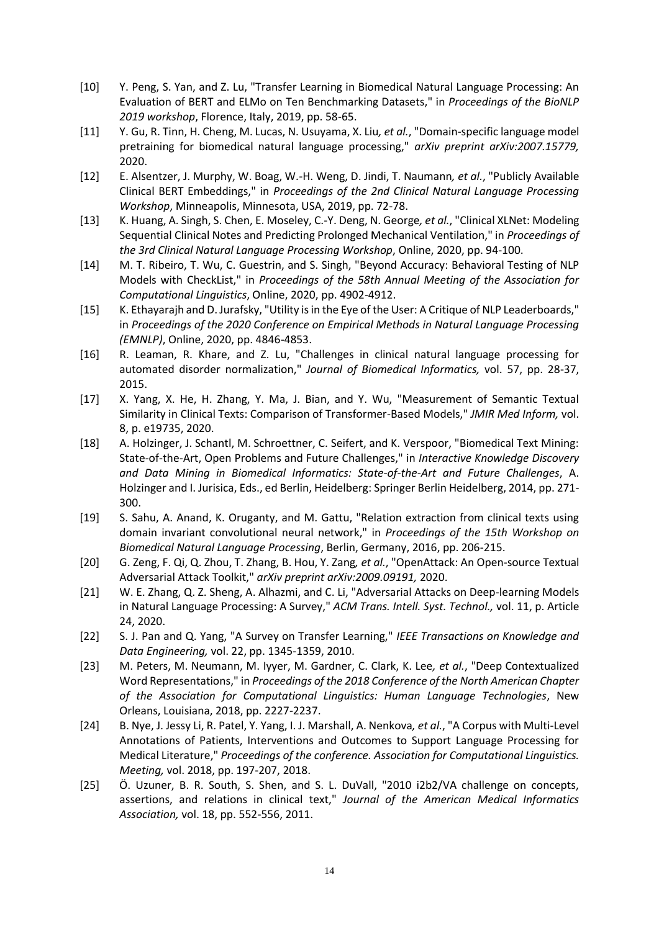- <span id="page-13-0"></span>[10] Y. Peng, S. Yan, and Z. Lu, "Transfer Learning in Biomedical Natural Language Processing: An Evaluation of BERT and ELMo on Ten Benchmarking Datasets," in *Proceedings of the BioNLP 2019 workshop*, Florence, Italy, 2019, pp. 58-65.
- [11] Y. Gu, R. Tinn, H. Cheng, M. Lucas, N. Usuyama, X. Liu*, et al.*, "Domain-specific language model pretraining for biomedical natural language processing," *arXiv preprint arXiv:2007.15779,*  2020.
- <span id="page-13-7"></span>[12] E. Alsentzer, J. Murphy, W. Boag, W.-H. Weng, D. Jindi, T. Naumann*, et al.*, "Publicly Available Clinical BERT Embeddings," in *Proceedings of the 2nd Clinical Natural Language Processing Workshop*, Minneapolis, Minnesota, USA, 2019, pp. 72-78.
- <span id="page-13-8"></span>[13] K. Huang, A. Singh, S. Chen, E. Moseley, C.-Y. Deng, N. George*, et al.*, "Clinical XLNet: Modeling Sequential Clinical Notes and Predicting Prolonged Mechanical Ventilation," in *Proceedings of the 3rd Clinical Natural Language Processing Workshop*, Online, 2020, pp. 94-100.
- <span id="page-13-1"></span>[14] M. T. Ribeiro, T. Wu, C. Guestrin, and S. Singh, "Beyond Accuracy: Behavioral Testing of NLP Models with CheckList," in *Proceedings of the 58th Annual Meeting of the Association for Computational Linguistics*, Online, 2020, pp. 4902-4912.
- <span id="page-13-2"></span>[15] K. Ethayarajh and D. Jurafsky, "Utility is in the Eye of the User: A Critique of NLP Leaderboards," in *Proceedings of the 2020 Conference on Empirical Methods in Natural Language Processing (EMNLP)*, Online, 2020, pp. 4846-4853.
- <span id="page-13-3"></span>[16] R. Leaman, R. Khare, and Z. Lu, "Challenges in clinical natural language processing for automated disorder normalization," *Journal of Biomedical Informatics,* vol. 57, pp. 28-37, 2015.
- [17] X. Yang, X. He, H. Zhang, Y. Ma, J. Bian, and Y. Wu, "Measurement of Semantic Textual Similarity in Clinical Texts: Comparison of Transformer-Based Models," *JMIR Med Inform,* vol. 8, p. e19735, 2020.
- [18] A. Holzinger, J. Schantl, M. Schroettner, C. Seifert, and K. Verspoor, "Biomedical Text Mining: State-of-the-Art, Open Problems and Future Challenges," in *Interactive Knowledge Discovery and Data Mining in Biomedical Informatics: State-of-the-Art and Future Challenges*, A. Holzinger and I. Jurisica, Eds., ed Berlin, Heidelberg: Springer Berlin Heidelberg, 2014, pp. 271- 300.
- [19] S. Sahu, A. Anand, K. Oruganty, and M. Gattu, "Relation extraction from clinical texts using domain invariant convolutional neural network," in *Proceedings of the 15th Workshop on Biomedical Natural Language Processing*, Berlin, Germany, 2016, pp. 206-215.
- <span id="page-13-4"></span>[20] G. Zeng, F. Qi, Q. Zhou, T. Zhang, B. Hou, Y. Zang*, et al.*, "OpenAttack: An Open-source Textual Adversarial Attack Toolkit," *arXiv preprint arXiv:2009.09191,* 2020.
- <span id="page-13-5"></span>[21] W. E. Zhang, Q. Z. Sheng, A. Alhazmi, and C. Li, "Adversarial Attacks on Deep-learning Models in Natural Language Processing: A Survey," *ACM Trans. Intell. Syst. Technol.,* vol. 11, p. Article 24, 2020.
- <span id="page-13-6"></span>[22] S. J. Pan and Q. Yang, "A Survey on Transfer Learning," *IEEE Transactions on Knowledge and Data Engineering,* vol. 22, pp. 1345-1359, 2010.
- <span id="page-13-9"></span>[23] M. Peters, M. Neumann, M. Iyyer, M. Gardner, C. Clark, K. Lee*, et al.*, "Deep Contextualized Word Representations," in *Proceedings of the 2018 Conference of the North American Chapter of the Association for Computational Linguistics: Human Language Technologies*, New Orleans, Louisiana, 2018, pp. 2227-2237.
- <span id="page-13-10"></span>[24] B. Nye, J. Jessy Li, R. Patel, Y. Yang, I. J. Marshall, A. Nenkova*, et al.*, "A Corpus with Multi-Level Annotations of Patients, Interventions and Outcomes to Support Language Processing for Medical Literature," *Proceedings of the conference. Association for Computational Linguistics. Meeting,* vol. 2018, pp. 197-207, 2018.
- <span id="page-13-11"></span>[25] Ö. Uzuner, B. R. South, S. Shen, and S. L. DuVall, "2010 i2b2/VA challenge on concepts, assertions, and relations in clinical text," *Journal of the American Medical Informatics Association,* vol. 18, pp. 552-556, 2011.